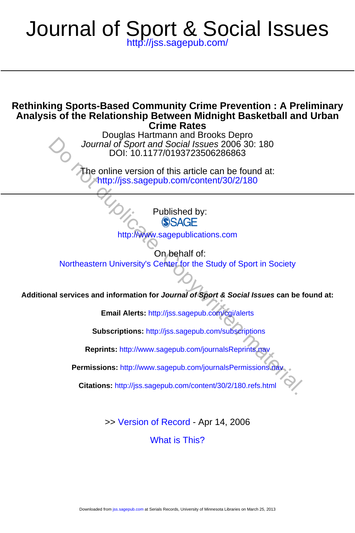### <http://jss.sagepub.com/> Journal of Sport & Social Issues

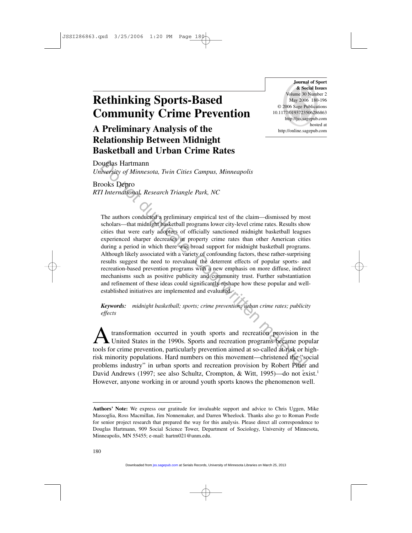# **Rethinking Sports-Based Community Crime Prevention**

### **A Preliminary Analysis of the Relationship Between Midnight Basketball and Urban Crime Rates**

Douglas Hartmann *University of Minnesota, Twin Cities Campus, Minneapolis*

Brooks Depro *RTI International, Research Triangle Park, NC*

The authors conducted a preliminary empirical test of the claim—dismissed by most scholars—that midnight basketball programs lower city-level crime rates. Results show cities that were early adopters of officially sanctioned midnight basketball leagues experienced sharper decreases in property crime rates than other American cities during a period in which there was broad support for midnight basketball programs. Although likely associated with a variety of confounding factors, these rather-surprising results suggest the need to reevaluate the deterrent effects of popular sports- and recreation-based prevention programs with a new emphasis on more diffuse, indirect mechanisms such as positive publicity and community trust. Further substantiation and refinement of these ideas could significantly reshape how these popular and wellestablished initiatives are implemented and evaluated. **Solution Control Control Control Control Control Control Control Control Control Column Schen Municipal. Research Triangle Park, NC<br>
The authors conducted a preliminary empirical test of the claim—dismissed by moscholars—** 

*Keywords: midnight basketball; sports; crime prevention; urban crime rates; publicity effects*

A transformation occurred in youth sports and recreation provision in the United States in the 1990s. Sports and recreation programs became popular tools for grime provision perticularly provision sime of a so selled at fi tools for crime prevention, particularly prevention aimed at so-called at-risk or highrisk minority populations. Hard numbers on this movement—christened the "social problems industry" in urban sports and recreation provision by Robert Pitter and David Andrews (1997; see also Schultz, Crompton, & Witt, 1995)—do not exist.<sup>1</sup> However, anyone working in or around youth sports knows the phenomenon well.

**Journal of Sport & Social Issues** Volume 30 Number 2 May 2006 180-196 © 2006 Sage Publications 10.1177/0193723506286863 http://jss.sagepub.com hosted at http://online.sagepub.com

**Authors' Note:** We express our gratitude for invaluable support and advice to Chris Uggen, Mike Massoglia, Ross Macmillan, Jim Nonnemaker, and Darren Wheelock. Thanks also go to Roman Postle for senior project research that prepared the way for this analysis. Please direct all correspondence to Douglas Hartmann, 909 Social Science Tower, Department of Sociology, University of Minnesota, Minneapolis, MN 55455; e-mail: hartm021@unm.edu.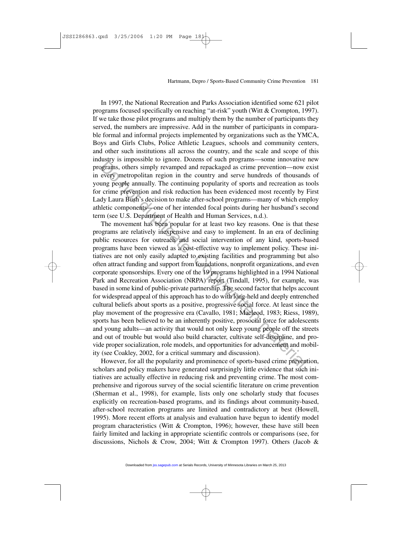In 1997, the National Recreation and Parks Association identified some 621 pilot programs focused specifically on reaching "at-risk" youth (Witt & Crompton, 1997). If we take those pilot programs and multiply them by the number of participants they served, the numbers are impressive. Add in the number of participants in comparable formal and informal projects implemented by organizations such as the YMCA, Boys and Girls Clubs, Police Athletic Leagues, schools and community centers, and other such institutions all across the country, and the scale and scope of this industry is impossible to ignore. Dozens of such programs—some innovative new programs, others simply revamped and repackaged as crime prevention—now exist in every metropolitan region in the country and serve hundreds of thousands of young people annually. The continuing popularity of sports and recreation as tools for crime prevention and risk reduction has been evidenced most recently by First Lady Laura Bush's decision to make after-school programs—many of which employ athletic components—one of her intended focal points during her husband's second term (see U.S. Department of Health and Human Services, n.d.).

The movement has been popular for at least two key reasons. One is that these programs are relatively inexpensive and easy to implement. In an era of declining public resources for outreach and social intervention of any kind, sports-based programs have been viewed as a cost-effective way to implement policy. These initiatives are not only easily adapted to existing facilities and programming but also often attract funding and support from foundations, nonprofit organizations, and even corporate sponsorships. Every one of the 19 programs highlighted in a 1994 National Park and Recreation Association (NRPA) report (Tindall, 1995), for example, was based in some kind of public-private partnership. The second factor that helps account for widespread appeal of this approach has to do with long-held and deeply entrenched cultural beliefs about sports as a positive, progressive social force. At least since the play movement of the progressive era (Cavallo, 1981; Macleod, 1983; Riess, 1989), sports has been believed to be an inherently positive, prosocial force for adolescents and young adults—an activity that would not only keep young people off the streets and out of trouble but would also build character, cultivate self-discipline, and provide proper socialization, role models, and opportunities for advancement and mobility (see Coakley, 2002, for a critical summary and discussion). and is mpossione to igance. Docated or and programs some minorance of game minorance or every metropolitan region in the country and seve hundreds of thousand representantly from the country and seve hundreds of thousand i

However, for all the popularity and prominence of sports-based crime prevention, scholars and policy makers have generated surprisingly little evidence that such initiatives are actually effective in reducing risk and preventing crime. The most comprehensive and rigorous survey of the social scientific literature on crime prevention (Sherman et al., 1998), for example, lists only one scholarly study that focuses explicitly on recreation-based programs, and its findings about community-based, after-school recreation programs are limited and contradictory at best (Howell, 1995). More recent efforts at analysis and evaluation have begun to identify model program characteristics (Witt & Crompton, 1996); however, these have still been fairly limited and lacking in appropriate scientific controls or comparisons (see, for discussions, Nichols & Crow, 2004; Witt & Crompton 1997). Others (Jacob &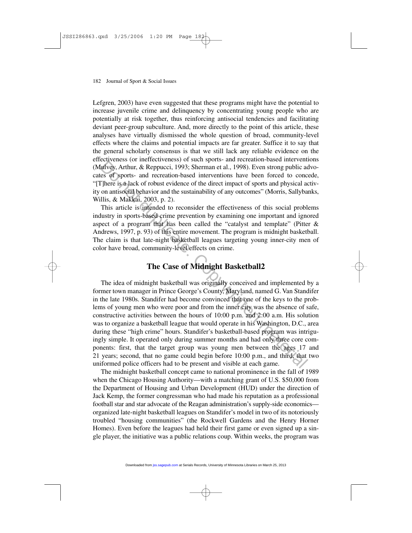Lefgren, 2003) have even suggested that these programs might have the potential to increase juvenile crime and delinquency by concentrating young people who are potentially at risk together, thus reinforcing antisocial tendencies and facilitating deviant peer-group subculture. And, more directly to the point of this article, these analyses have virtually dismissed the whole question of broad, community-level effects where the claims and potential impacts are far greater. Suffice it to say that the general scholarly consensus is that we still lack any reliable evidence on the effectiveness (or ineffectiveness) of such sports- and recreation-based interventions (Mulvey, Arthur, & Reppucci, 1993; Sherman et al., 1998). Even strong public advocates of sports- and recreation-based interventions have been forced to concede, "[T]here is a lack of robust evidence of the direct impact of sports and physical activity on antisocial behavior and the sustainability of any outcomes" (Morris, Sallybanks, Willis, & Makkai, 2003, p. 2).

This article is intended to reconsider the effectiveness of this social problems industry in sports-based crime prevention by examining one important and ignored aspect of a program that has been called the "catalyst and template" (Pitter & Andrews, 1997, p. 93) of this entire movement. The program is midnight basketball. The claim is that late-night basketball leagues targeting young inner-city men of color have broad, community-level effects on crime.

#### **The Case of Midnight Basketball2**

The idea of midnight basketball was originally conceived and implemented by a former town manager in Prince George's County, Maryland, named G. Van Standifer in the late 1980s. Standifer had become convinced that one of the keys to the problems of young men who were poor and from the inner city was the absence of safe, constructive activities between the hours of 10:00 p.m. and 2:00 a.m. His solution was to organize a basketball league that would operate in his Washington, D.C., area during these "high crime" hours. Standifer's basketball-based program was intriguingly simple. It operated only during summer months and had only three core components: first, that the target group was young men between the ages 17 and 21 years; second, that no game could begin before 10:00 p.m., and third, that two uniformed police officers had to be present and visible at each game. **Example 10** and representation of a such spontar modes want execution and vectoments of sponts. Arthur, & Reppucci, 1993; Sherman et al., 1998). Even strong public as es of sports- and recreation-based interventions have

The midnight basketball concept came to national prominence in the fall of 1989 when the Chicago Housing Authority—with a matching grant of U.S. \$50,000 from the Department of Housing and Urban Development (HUD) under the direction of Jack Kemp, the former congressman who had made his reputation as a professional football star and star advocate of the Reagan administration's supply-side economics organized late-night basketball leagues on Standifer's model in two of its notoriously troubled "housing communities" (the Rockwell Gardens and the Henry Horner Homes). Even before the leagues had held their first game or even signed up a single player, the initiative was a public relations coup. Within weeks, the program was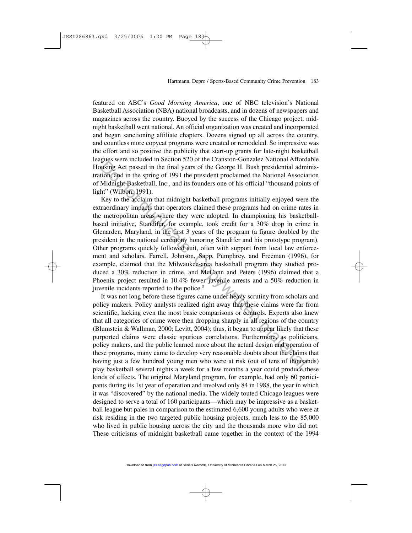featured on ABC's *Good Morning America*, one of NBC television's National Basketball Association (NBA) national broadcasts, and in dozens of newspapers and magazines across the country. Buoyed by the success of the Chicago project, midnight basketball went national. An official organization was created and incorporated and began sanctioning affiliate chapters. Dozens signed up all across the country, and countless more copycat programs were created or remodeled. So impressive was the effort and so positive the publicity that start-up grants for late-night basketball leagues were included in Section 520 of the Cranston-Gonzalez National Affordable Housing Act passed in the final years of the George H. Bush presidential administration, and in the spring of 1991 the president proclaimed the National Association of Midnight Basketball, Inc., and its founders one of his official "thousand points of light" (Wilbon, 1991).

Key to the acclaim that midnight basketball programs initially enjoyed were the extraordinary impacts that operators claimed these programs had on crime rates in the metropolitan areas where they were adopted. In championing his basketballbased initiative, Standifer, for example, took credit for a 30% drop in crime in Glenarden, Maryland, in the first 3 years of the program (a figure doubled by the president in the national ceremony honoring Standifer and his prototype program). Other programs quickly followed suit, often with support from local law enforcement and scholars. Farrell, Johnson, Sapp, Pumphrey, and Freeman (1996), for example, claimed that the Milwaukee-area basketball program they studied produced a 30% reduction in crime, and McCann and Peters (1996) claimed that a Phoenix project resulted in 10.4% fewer juvenile arrests and a 50% reduction in juvenile incidents reported to the police.3 given we mentated in scenarios of a control of the comparison control of the Copy matter. The comparison of the Grong H. Bush presidential admit tion and in the spring of 1991 the president proclaimed the National Associal

It was not long before these figures came under heavy scrutiny from scholars and policy makers. Policy analysts realized right away that these claims were far from scientific, lacking even the most basic comparisons or controls. Experts also knew that all categories of crime were then dropping sharply in all regions of the country (Blumstein & Wallman, 2000; Levitt, 2004); thus, it began to appear likely that these purported claims were classic spurious correlations. Furthermore, as politicians, policy makers, and the public learned more about the actual design and operation of these programs, many came to develop very reasonable doubts about the claims that having just a few hundred young men who were at risk (out of tens of thousands) play basketball several nights a week for a few months a year could produce these kinds of effects. The original Maryland program, for example, had only 60 participants during its 1st year of operation and involved only 84 in 1988, the year in which it was "discovered" by the national media. The widely touted Chicago leagues were designed to serve a total of 160 participants—which may be impressive as a basketball league but pales in comparison to the estimated 6,600 young adults who were at risk residing in the two targeted public housing projects, much less to the 85,000 who lived in public housing across the city and the thousands more who did not. These criticisms of midnight basketball came together in the context of the 1994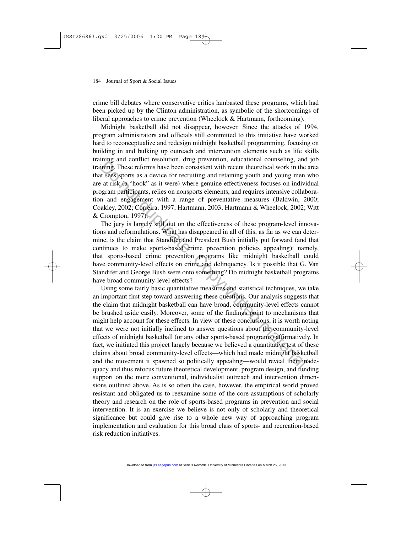crime bill debates where conservative critics lambasted these programs, which had been picked up by the Clinton administration, as symbolic of the shortcomings of liberal approaches to crime prevention (Wheelock & Hartmann, forthcoming).

Midnight basketball did not disappear, however. Since the attacks of 1994, program administrators and officials still committed to this initiative have worked hard to reconceptualize and redesign midnight basketball programming, focusing on building in and bulking up outreach and intervention elements such as life skills training and conflict resolution, drug prevention, educational counseling, and job training. These reforms have been consistent with recent theoretical work in the area that sees sports as a device for recruiting and retaining youth and young men who are at risk (a "hook" as it were) where genuine effectiveness focuses on individual program participants, relies on nonsports elements, and requires intensive collaboration and engagement with a range of preventative measures (Baldwin, 2000; Coakley, 2002; Correira, 1997; Hartmann, 2003; Hartmann & Wheelock, 2002; Witt & Crompton, 1997).

The jury is largely still out on the effectiveness of these program-level innovations and reformulations. What has disappeared in all of this, as far as we can determine, is the claim that Standifer and President Bush initially put forward (and that continues to make sports-based crime prevention policies appealing): namely, that sports-based crime prevention programs like midnight basketball could have community-level effects on crime and delinquency. Is it possible that G. Van Standifer and George Bush were onto something? Do midnight basketball programs have broad community-level effects?

Using some fairly basic quantitative measures and statistical techniques, we take an important first step toward answering these questions. Our analysis suggests that the claim that midnight basketball can have broad, community-level effects cannot be brushed aside easily. Moreover, some of the findings point to mechanisms that might help account for these effects. In view of these conclusions, it is worth noting that we were not initially inclined to answer questions about the community-level effects of midnight basketball (or any other sports-based programs) affirmatively. In fact, we initiated this project largely because we believed a quantitative test of these claims about broad community-level effects—which had made midnight basketball and the movement it spawned so politically appealing—would reveal their inadequacy and thus refocus future theoretical development, program design, and funding support on the more conventional, individualist outreach and intervention dimensions outlined above. As is so often the case, however, the empirical world proved resistant and obligated us to reexamine some of the core assumptions of scholarly theory and research on the role of sports-based programs in prevention and social intervention. It is an exercise we believe is not only of scholarly and theoretical significance but could give rise to a whole new way of approaching program implementation and evaluation for this broad class of sports- and recreation-based risk reduction initiatives. mate community are test than the prevention, the prevention and the momentum of the set arisk ( $\mathbf{a}_i$  "hole" as it were) where genuine effectiveness focuses on individually and  $\mathbf{a}_i$  "hole" as it were) where genuin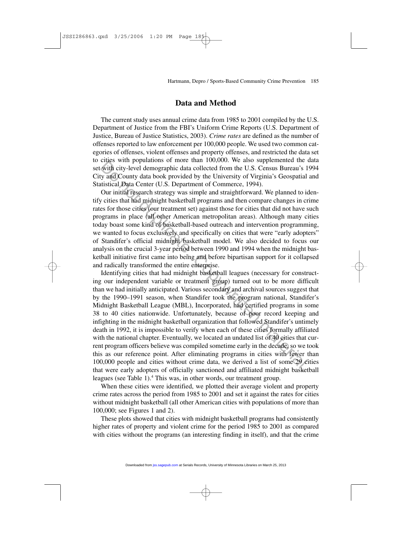#### **Data and Method**

The current study uses annual crime data from 1985 to 2001 compiled by the U.S. Department of Justice from the FBI's Uniform Crime Reports (U.S. Department of Justice, Bureau of Justice Statistics, 2003). *Crime rates* are defined as the number of offenses reported to law enforcement per 100,000 people. We used two common categories of offenses, violent offenses and property offenses, and restricted the data set to cities with populations of more than 100,000. We also supplemented the data set with city-level demographic data collected from the U.S. Census Bureau's 1994 City and County data book provided by the University of Virginia's Geospatial and Statistical Data Center (U.S. Department of Commerce, 1994).

Our initial research strategy was simple and straightforward. We planned to identify cities that had midnight basketball programs and then compare changes in crime rates for those cities (our treatment set) against those for cities that did not have such programs in place (all other American metropolitan areas). Although many cities today boast some kind of basketball-based outreach and intervention programming, we wanted to focus exclusively and specifically on cities that were "early adopters" of Standifer's official midnight basketball model. We also decided to focus our analysis on the crucial 3-year period between 1990 and 1994 when the midnight basketball initiative first came into being and before bipartisan support for it collapsed and radically transformed the entire enterprise.

Identifying cities that had midnight basketball leagues (necessary for constructing our independent variable or treatment group) turned out to be more difficult than we had initially anticipated. Various secondary and archival sources suggest that by the 1990–1991 season, when Standifer took the program national, Standifer's Midnight Basketball League (MBL), Incorporated, had certified programs in some 38 to 40 cities nationwide. Unfortunately, because of poor record keeping and infighting in the midnight basketball organization that followed Standifer's untimely death in 1992, it is impossible to verify when each of these cities formally affiliated with the national chapter. Eventually, we located an undated list of 40 cities that current program officers believe was compiled sometime early in the decade, so we took this as our reference point. After eliminating programs in cities with fewer than 100,000 people and cities without crime data, we derived a list of some 29 cities that were early adopters of officially sanctioned and affiliated midnight basketball leagues (see Table 1).<sup>4</sup> This was, in other words, our treatment group. cuse wan populations of more uain 100,000. We also suppenfined une of the attact with city-level demographic data collected from the U.S. Census Bureau's 1 y and County data book provided by the University of Virginia's Ge

When these cities were identified, we plotted their average violent and property crime rates across the period from 1985 to 2001 and set it against the rates for cities without midnight basketball (all other American cities with populations of more than 100,000; see Figures 1 and 2).

These plots showed that cities with midnight basketball programs had consistently higher rates of property and violent crime for the period 1985 to 2001 as compared with cities without the programs (an interesting finding in itself), and that the crime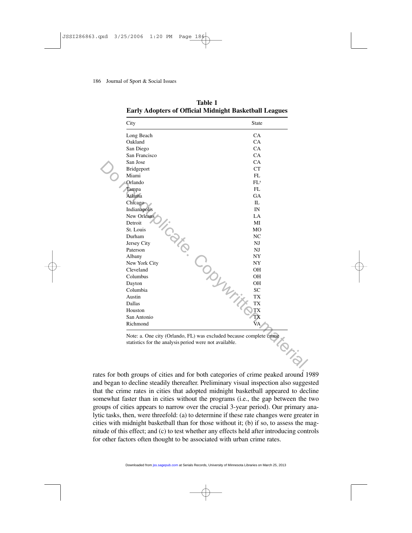|                                | <b>State</b>    |
|--------------------------------|-----------------|
| Long Beach                     | <b>CA</b>       |
| Oakland                        | CA              |
| San Diego                      | CA              |
| San Francisco                  | CA              |
| San Jose                       | CA              |
| Bridgeport                     | <b>CT</b>       |
| Miami                          | FL              |
| Orlando                        | FL <sup>a</sup> |
| Tampa                          | FL              |
| Atlanta                        | GA              |
| Chicago                        | Π.              |
| Indianapolis                   | IN              |
| New Orleans                    | LA.             |
| Detroit                        | MI              |
| St. Louis                      | <b>MO</b>       |
| Durham                         | NC              |
| Jersey City                    | N <sub>J</sub>  |
| Paterson                       | NJ              |
| Albany                         | NY              |
| New York City                  | NY              |
| Cleveland                      | OH              |
| Columbus                       | OH              |
| Dayton                         | OH              |
| Columbia                       | <b>SC</b>       |
| Austin                         | <b>TX</b>       |
| Dallas                         | <b>TX</b>       |
| Houston                        | TX              |
| Iicate Copyritt<br>San Antonio | TX              |
| Richmond                       | VА              |

**Table 1 Early Adopters of Official Midnight Basketball Leagues**

rates for both groups of cities and for both categories of crime peaked around 1989 and began to decline steadily thereafter. Preliminary visual inspection also suggested that the crime rates in cities that adopted midnight basketball appeared to decline somewhat faster than in cities without the programs (i.e., the gap between the two groups of cities appears to narrow over the crucial 3-year period). Our primary analytic tasks, then, were threefold: (a) to determine if these rate changes were greater in cities with midnight basketball than for those without it; (b) if so, to assess the magnitude of this effect; and (c) to test whether any effects held after introducing controls for other factors often thought to be associated with urban crime rates.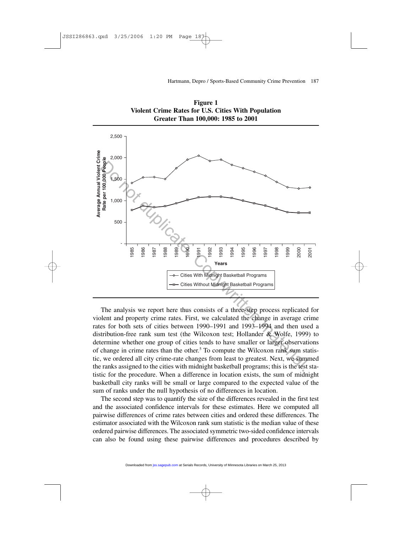

**Figure 1 Violent Crime Rates for U.S. Cities With Population Greater Than 100,000: 1985 to 2001**

The analysis we report here thus consists of a three-step process replicated for violent and property crime rates. First, we calculated the change in average crime rates for both sets of cities between 1990–1991 and 1993–1994 and then used a distribution-free rank sum test (the Wilcoxon test; Hollander & Wolfe, 1999) to determine whether one group of cities tends to have smaller or larger observations of change in crime rates than the other.<sup>5</sup> To compute the Wilcoxon rank sum statistic, we ordered all city crime-rate changes from least to greatest. Next, we summed the ranks assigned to the cities with midnight basketball programs; this is the test statistic for the procedure. When a difference in location exists, the sum of midnight basketball city ranks will be small or large compared to the expected value of the sum of ranks under the null hypothesis of no differences in location.

The second step was to quantify the size of the differences revealed in the first test and the associated confidence intervals for these estimates. Here we computed all pairwise differences of crime rates between cities and ordered these differences. The estimator associated with the Wilcoxon rank sum statistic is the median value of these ordered pairwise differences. The associated symmetric two-sided confidence intervals can also be found using these pairwise differences and procedures described by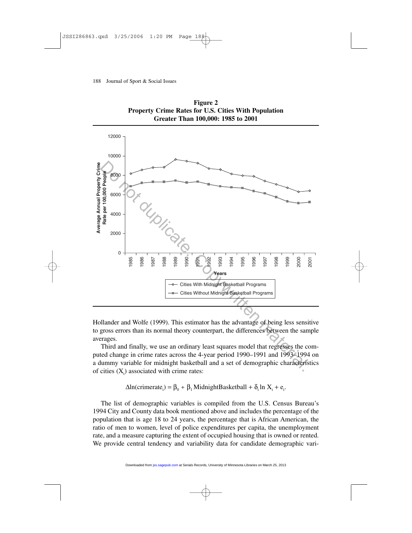

**Figure 2 Property Crime Rates for U.S. Cities With Population Greater Than 100,000: 1985 to 2001**

Hollander and Wolfe (1999). This estimator has the advantage of being less sensitive to gross errors than its normal theory counterpart, the differences between the sample averages.

Third and finally, we use an ordinary least squares model that regresses the computed change in crime rates across the 4-year period 1990–1991 and 1993–1994 on a dummy variable for midnight basketball and a set of demographic characteristics of cities  $(X_i)$  associated with crime rates:

 $\Delta$ ln(crimerate<sub>i</sub>) =  $\beta_0 + \beta_1$  MidnightBasketball +  $\delta_i$  ln X<sub>i</sub> + e<sub>i</sub>.

The list of demographic variables is compiled from the U.S. Census Bureau's 1994 City and County data book mentioned above and includes the percentage of the population that is age 18 to 24 years, the percentage that is African American, the ratio of men to women, level of police expenditures per capita, the unemployment rate, and a measure capturing the extent of occupied housing that is owned or rented. We provide central tendency and variability data for candidate demographic vari-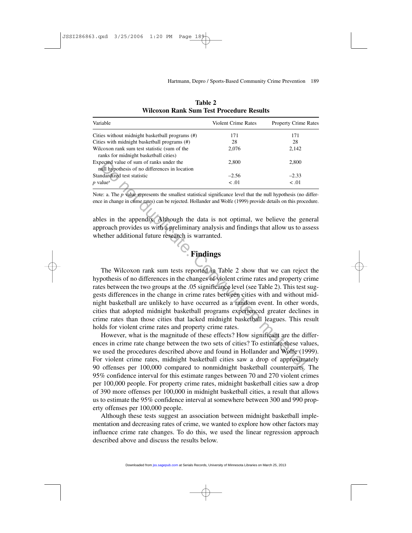| Variable                                        | <b>Violent Crime Rates</b> | Property Crime Rates |
|-------------------------------------------------|----------------------------|----------------------|
| Cities without midnight basketball programs (#) | 171                        | 171                  |
| Cities with midnight basketball programs (#)    | 28                         | 28                   |
| Wilcoxon rank sum test statistic (sum of the    | 2.076                      | 2.142                |
| ranks for midnight basketball cities)           |                            |                      |
| Expected value of sum of ranks under the        | 2.800                      | 2.800                |
| null hypothesis of no differences in location   |                            |                      |
| Standardized test statistic                     | $-2.56$                    | $-2.33$              |
| $p$ value <sup><math>a</math></sup>             | < .01                      | < .01                |

**Table 2 Wilcoxon Rank Sum Test Procedure Results**

Note: a. The *p* value represents the smallest statistical significance level that the null hypothesis (no difference in change in crime rates) can be rejected. Hollander and Wolfe (1999) provide details on this procedure.

ables in the appendix. Although the data is not optimal, we believe the general approach provides us with a preliminary analysis and findings that allow us to assess whether additional future research is warranted.

# **Findings**

The Wilcoxon rank sum tests reported in Table 2 show that we can reject the hypothesis of no differences in the changes of violent crime rates and property crime rates between the two groups at the .05 significance level (see Table 2). This test suggests differences in the change in crime rates between cities with and without midnight basketball are unlikely to have occurred as a random event. In other words, cities that adopted midnight basketball programs experienced greater declines in crime rates than those cities that lacked midnight basketball leagues. This result holds for violent crime rates and property crime rates. sected value of sum of ranks under the two sects of the production of summaterial.<br>
The production of the content of the content of the copy of the copy of the copy of the copy of the copy of the copy of the copy of the p

However, what is the magnitude of these effects? How significant are the differences in crime rate change between the two sets of cities? To estimate these values, we used the procedures described above and found in Hollander and Wolfe (1999). For violent crime rates, midnight basketball cities saw a drop of approximately 90 offenses per 100,000 compared to nonmidnight basketball counterparts. The 95% confidence interval for this estimate ranges between 70 and 270 violent crimes per 100,000 people. For property crime rates, midnight basketball cities saw a drop of 390 more offenses per 100,000 in midnight basketball cities, a result that allows us to estimate the 95% confidence interval at somewhere between 300 and 990 property offenses per 100,000 people.

Although these tests suggest an association between midnight basketball implementation and decreasing rates of crime, we wanted to explore how other factors may influence crime rate changes. To do this, we used the linear regression approach described above and discuss the results below.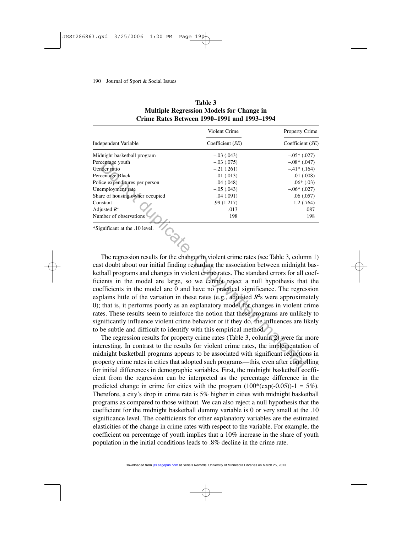|                                 | Violent Crime      | Property Crime<br>Coefficient $(SE)$ |  |
|---------------------------------|--------------------|--------------------------------------|--|
| <b>Independent Variable</b>     | Coefficient $(SE)$ |                                      |  |
| Midnight basketball program     | $-.03(.043)$       | $-.05*$ (.027)                       |  |
| Percentage youth                | $-.03(.075)$       | $-.08*(.047)$                        |  |
| Gender ratio                    | $-.21(.261)$       | $-.41*$ (.164)                       |  |
| Percentage Black                | $.01 \; (.013)$    | .01(.008)                            |  |
| Police expenditures per person  | .04(.048)          | $.06*(.03)$                          |  |
| Unemployment rate               | $-.05(.043)$       | $-.06*(.027)$                        |  |
| Share of housing owner occupied | .04(.091)          | .06(.057)                            |  |
| Constant                        | .99(1.217)         | 1.2(0.764)                           |  |
| Adjusted $R^2$                  | .013               | .087                                 |  |
| Number of observations          | 198                | 198                                  |  |
| *Significant at the .10 level.  |                    |                                      |  |

| Table 3                                         |
|-------------------------------------------------|
| <b>Multiple Regression Models for Change in</b> |
| Crime Rates Between 1990–1991 and 1993–1994     |

The regression results for the changes in violent crime rates (see Table 3, column 1) cast doubt about our initial finding regarding the association between midnight basketball programs and changes in violent crime rates. The standard errors for all coefficients in the model are large, so we cannot reject a null hypothesis that the coefficients in the model are 0 and have no practical significance. The regression explains little of the variation in these rates (e.g., adjusted  $R^2$ s were approximately 0); that is, it performs poorly as an explanatory model for changes in violent crime rates. These results seem to reinforce the notion that these programs are unlikely to significantly influence violent crime behavior or if they do, the influences are likely to be subtle and difficult to identify with this empirical method. coptage youth<br>  $-0.3$  (1075)<br>
often prioride profit and the correlation<br>
correlation of the results of the copy and the special of the special of<br>
consisting of the copyrigment and the copyrigment and the copyrigment and<br>

The regression results for property crime rates (Table 3, column 2) were far more interesting. In contrast to the results for violent crime rates, the implementation of midnight basketball programs appears to be associated with significant reductions in property crime rates in cities that adopted such programs—this, even after controlling for initial differences in demographic variables. First, the midnight basketball coefficient from the regression can be interpreted as the percentage difference in the predicted change in crime for cities with the program  $(100*(\exp(-0.05))$ -1 = 5%). Therefore, a city's drop in crime rate is 5% higher in cities with midnight basketball programs as compared to those without. We can also reject a null hypothesis that the coefficient for the midnight basketball dummy variable is 0 or very small at the .10 significance level. The coefficients for other explanatory variables are the estimated elasticities of the change in crime rates with respect to the variable. For example, the coefficient on percentage of youth implies that a 10% increase in the share of youth population in the initial conditions leads to .8% decline in the crime rate.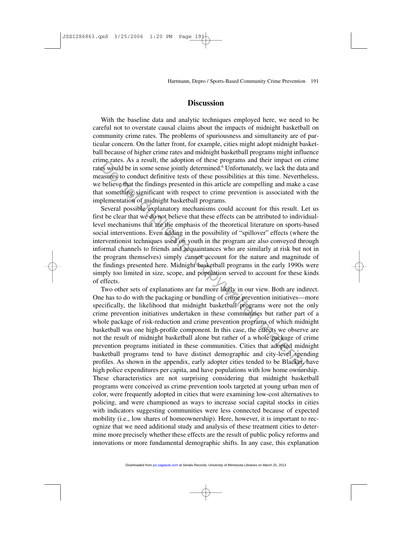#### **Discussion**

With the baseline data and analytic techniques employed here, we need to be careful not to overstate causal claims about the impacts of midnight basketball on community crime rates. The problems of spuriousness and simultaneity are of particular concern. On the latter front, for example, cities might adopt midnight basketball because of higher crime rates and midnight basketball programs might influence crime rates. As a result, the adoption of these programs and their impact on crime rates would be in some sense jointly determined.<sup>6</sup> Unfortunately, we lack the data and measures to conduct definitive tests of these possibilities at this time. Nevertheless, we believe that the findings presented in this article are compelling and make a case that something significant with respect to crime prevention is associated with the implementation of midnight basketball programs.

Several possible explanatory mechanisms could account for this result. Let us first be clear that we do not believe that these effects can be attributed to individuallevel mechanisms that are the emphasis of the theoretical literature on sports-based social interventions. Even adding in the possibility of "spillover" effects (where the interventionist techniques used on youth in the program are also conveyed through informal channels to friends and acquaintances who are similarly at risk but not in the program themselves) simply cannot account for the nature and magnitude of the findings presented here. Midnight basketball programs in the early 1990s were simply too limited in size, scope, and population served to account for these kinds of effects.

Two other sets of explanations are far more likely in our view. Both are indirect. One has to do with the packaging or bundling of crime prevention initiatives—more specifically, the likelihood that midnight basketball programs were not the only crime prevention initiatives undertaken in these communities but rather part of a whole package of risk-reduction and crime prevention programs of which midnight basketball was one high-profile component. In this case, the effects we observe are not the result of midnight basketball alone but rather of a whole package of crime prevention programs initiated in these communities. Cities that adopted midnight basketball programs tend to have distinct demographic and city-level spending profiles. As shown in the appendix, early adopter cities tended to be Blacker, have high police expenditures per capita, and have populations with low home ownership. These characteristics are not surprising considering that midnight basketball programs were conceived as crime prevention tools targeted at young urban men of color, were frequently adopted in cities that were examining low-cost alternatives to policing, and were championed as ways to increase social capital stocks in cities with indicators suggesting communities were less connected because of expected mobility (i.e., low shares of homeownership). Here, however, it is important to recognize that we need additional study and analysis of these treatment cities to determine more precisely whether these effects are the result of public policy reforms and innovations or more fundamental demographic shifts. In any case, this explanation metaries. As a result, the adoptom of these programs and ultern migract on the model programs and the model of the model of the product est of these possibilities at this time. Neverthel believe that the findings presente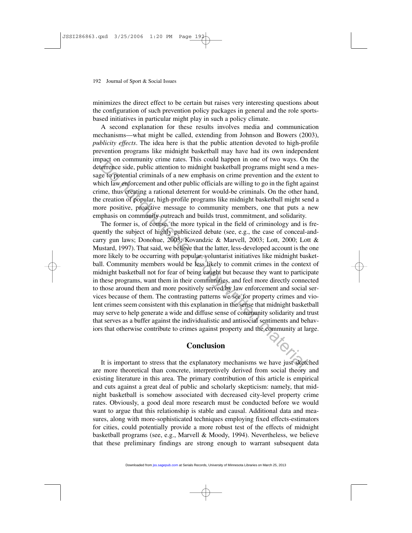minimizes the direct effect to be certain but raises very interesting questions about the configuration of such prevention policy packages in general and the role sportsbased initiatives in particular might play in such a policy climate.

A second explanation for these results involves media and communication mechanisms—what might be called, extending from Johnson and Bowers (2003), *publicity effects*. The idea here is that the public attention devoted to high-profile prevention programs like midnight basketball may have had its own independent impact on community crime rates. This could happen in one of two ways. On the deterrence side, public attention to midnight basketball programs might send a message to potential criminals of a new emphasis on crime prevention and the extent to which law enforcement and other public officials are willing to go in the fight against crime, thus creating a rational deterrent for would-be criminals. On the other hand, the creation of popular, high-profile programs like midnight basketball might send a more positive, proactive message to community members, one that puts a new emphasis on community outreach and builds trust, commitment, and solidarity.

The former is, of course, the more typical in the field of criminology and is frequently the subject of highly publicized debate (see, e.g., the case of conceal-andcarry gun laws; Donohue, 2003; Kovandzic & Marvell, 2003; Lott, 2000; Lott & Mustard, 1997). That said, we believe that the latter, less-developed account is the one more likely to be occurring with popular, voluntarist initiatives like midnight basketball. Community members would be less likely to commit crimes in the context of midnight basketball not for fear of being caught but because they want to participate in these programs, want them in their communities, and feel more directly connected to those around them and more positively served by law enforcement and social services because of them. The contrasting patterns we see for property crimes and violent crimes seem consistent with this explanation in the sense that midnight basketball may serve to help generate a wide and diffuse sense of community solidarity and trust that serves as a buffer against the individualistic and antisocial sentiments and behaviors that otherwise contribute to crimes against property and the community at large. paral on continuality come tracks. This count in particular to the ways. On control is a perfection to midnight basketball programs might send a re-<br>terichec side, public attention to midnight basketball programs might sen

#### **Conclusion**

It is important to stress that the explanatory mechanisms we have just sketched are more theoretical than concrete, interpretively derived from social theory and existing literature in this area. The primary contribution of this article is empirical and cuts against a great deal of public and scholarly skepticism: namely, that midnight basketball is somehow associated with decreased city-level property crime rates. Obviously, a good deal more research must be conducted before we would want to argue that this relationship is stable and causal. Additional data and measures, along with more-sophisticated techniques employing fixed effects-estimators for cities, could potentially provide a more robust test of the effects of midnight basketball programs (see, e.g., Marvell & Moody, 1994). Nevertheless, we believe that these preliminary findings are strong enough to warrant subsequent data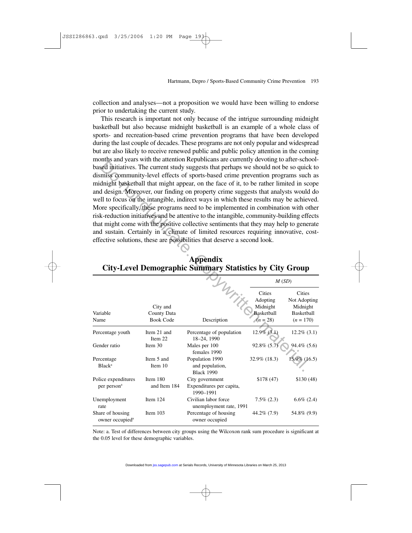collection and analyses—not a proposition we would have been willing to endorse prior to undertaking the current study.

This research is important not only because of the intrigue surrounding midnight basketball but also because midnight basketball is an example of a whole class of sports- and recreation-based crime prevention programs that have been developed during the last couple of decades. These programs are not only popular and widespread but are also likely to receive renewed public and public policy attention in the coming months and years with the attention Republicans are currently devoting to after-schoolbased initiatives. The current study suggests that perhaps we should not be so quick to dismiss community-level effects of sports-based crime prevention programs such as midnight basketball that might appear, on the face of it, to be rather limited in scope and design. Moreover, our finding on property crime suggests that analysts would do well to focus on the intangible, indirect ways in which these results may be achieved. More specifically, these programs need to be implemented in combination with other risk-reduction initiatives and be attentive to the intangible, community-building effects that might come with the positive collective sentiments that they may help to generate and sustain. Certainly in a climate of limited resources requiring innovative, costeffective solutions, these are possibilities that deserve a second look.

| months and yours with the attention respassionalis are carrently devoting to anche sensor<br>based initiatives. The current study suggests that perhaps we should not be so quick to<br>dismiss community-level effects of sports-based crime prevention programs such as<br>midnight basketball that might appear, on the face of it, to be rather limited in scope<br>and design. Moreover, our finding on property crime suggests that analysts would do<br>well to focus on the intangible, indirect ways in which these results may be achieved.<br>More specifically, these programs need to be implemented in combination with other<br>risk-reduction initiatives and be attentive to the intangible, community-building effects<br>that might come with the positive collective sentiments that they may help to generate<br>and sustain. Certainly in a climate of limited resources requiring innovative, cost-<br>effective solutions, these are possibilities that deserve a second look.<br><b>Appendix</b> |                          |                                                          |                                                     |                                                         |  |  |
|---------------------------------------------------------------------------------------------------------------------------------------------------------------------------------------------------------------------------------------------------------------------------------------------------------------------------------------------------------------------------------------------------------------------------------------------------------------------------------------------------------------------------------------------------------------------------------------------------------------------------------------------------------------------------------------------------------------------------------------------------------------------------------------------------------------------------------------------------------------------------------------------------------------------------------------------------------------------------------------------------------------------------|--------------------------|----------------------------------------------------------|-----------------------------------------------------|---------------------------------------------------------|--|--|
|                                                                                                                                                                                                                                                                                                                                                                                                                                                                                                                                                                                                                                                                                                                                                                                                                                                                                                                                                                                                                           |                          |                                                          |                                                     |                                                         |  |  |
|                                                                                                                                                                                                                                                                                                                                                                                                                                                                                                                                                                                                                                                                                                                                                                                                                                                                                                                                                                                                                           |                          |                                                          | M(SD)                                               |                                                         |  |  |
| Variable                                                                                                                                                                                                                                                                                                                                                                                                                                                                                                                                                                                                                                                                                                                                                                                                                                                                                                                                                                                                                  | City and<br>County Data  | <b>INTIN</b>                                             | Cities<br>Adopting<br>Midnight<br><b>Basketball</b> | Cities<br>Not Adopting<br>Midnight<br><b>Basketball</b> |  |  |
| Name                                                                                                                                                                                                                                                                                                                                                                                                                                                                                                                                                                                                                                                                                                                                                                                                                                                                                                                                                                                                                      | <b>Book Code</b>         | Description                                              | $(n = 28)$                                          | $(n = 170)$                                             |  |  |
| Percentage youth                                                                                                                                                                                                                                                                                                                                                                                                                                                                                                                                                                                                                                                                                                                                                                                                                                                                                                                                                                                                          | Item 21 and<br>Item 22   | Percentage of population<br>18-24, 1990                  | 12.9% (3.1)                                         | $12.2\%$ (3.1)                                          |  |  |
| Gender ratio                                                                                                                                                                                                                                                                                                                                                                                                                                                                                                                                                                                                                                                                                                                                                                                                                                                                                                                                                                                                              | Item 30                  | Males per 100<br>females 1990                            | 92.8% (5.7)                                         | 94.4% (5.6)                                             |  |  |
| Percentage<br><b>Black</b> <sup>a</sup>                                                                                                                                                                                                                                                                                                                                                                                                                                                                                                                                                                                                                                                                                                                                                                                                                                                                                                                                                                                   | Item 5 and<br>Item 10    | Population 1990<br>and population,<br><b>Black 1990</b>  | 32.9% (18.3)                                        | 15.9% (16.5)                                            |  |  |
| Police expenditures<br>per person <sup>a</sup>                                                                                                                                                                                                                                                                                                                                                                                                                                                                                                                                                                                                                                                                                                                                                                                                                                                                                                                                                                            | Item 180<br>and Item 184 | City government<br>Expenditures per capita,<br>1990-1991 | \$178(47)                                           | \$130(48)                                               |  |  |
| Unemployment<br>rate                                                                                                                                                                                                                                                                                                                                                                                                                                                                                                                                                                                                                                                                                                                                                                                                                                                                                                                                                                                                      | Item 124                 | Civilian labor force<br>unemployment rate, 1991          | $7.5\%$ (2.3)                                       | $6.6\%$ (2.4)                                           |  |  |
| Share of housing<br>owner occupied <sup>a</sup>                                                                                                                                                                                                                                                                                                                                                                                                                                                                                                                                                                                                                                                                                                                                                                                                                                                                                                                                                                           | Item 103                 | Percentage of housing<br>owner occupied                  | 44.2% (7.9)                                         | 54.8% (9.9)                                             |  |  |

**Appendix City-Level Demographic Summary Statistics by City Group**

Note: a. Test of differences between city groups using the Wilcoxon rank sum procedure is significant at the 0.05 level for these demographic variables.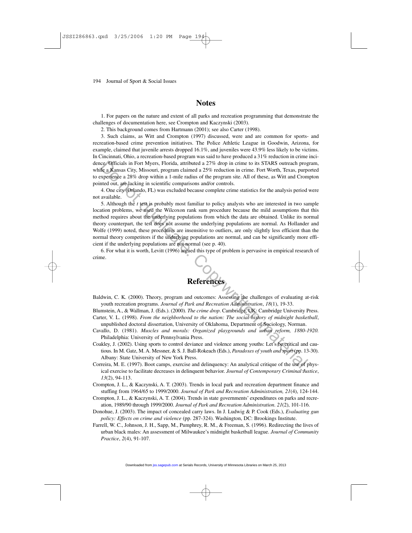194 Journal of Sport & Social Issues

#### **Notes**

1. For papers on the nature and extent of all parks and recreation programming that demonstrate the challenges of documentation here, see Crompton and Kaczynski (2003).

2. This background comes from Hartmann (2001); see also Carter (1998).

3. Such claims, as Witt and Crompton (1997) discussed, were and are common for sports- and recreation-based crime prevention initiatives. The Police Athletic League in Goodwin, Arizona, for example, claimed that juvenile arrests dropped 16.1%, and juveniles were 43.9% less likely to be victims. In Cincinnati, Ohio, a recreation-based program was said to have produced a 31% reduction in crime incidence. Officials in Fort Myers, Florida, attributed a 27% drop in crime to its STARS outreach program, while a Kansas City, Missouri, program claimed a 25% reduction in crime. Fort Worth, Texas, purported to experience a 28% drop within a 1-mile radius of the program site. All of these, as Witt and Crompton pointed out, are lacking in scientific comparisons and/or controls.

4. One city (Orlando, FL) was excluded because complete crime statistics for the analysis period were not available.

5. Although the *t* test is probably most familiar to policy analysts who are interested in two sample location problems, we used the Wilcoxon rank sum procedure because the mild assumptions that this method requires about the underlying populations from which the data are obtained. Unlike its normal theory counterpart, the test does not assume the underlying populations are normal. As Hollander and Wolfe (1999) noted, these procedures are insensitive to outliers, are only slightly less efficient than the normal theory competitors if the underlying populations are normal, and can be significantly more efficient if the underlying populations are not normal (see p. 40). eco-Officials in Fort Myers, Florida, attributed a 27% drop in crime to its STARS outerach program<br>
ele a Kansas City, Missouri, program claimed a 27% reduction in crime. Fort Worth, Texas, pury<br>
specificate a 28% drop wit

6. For what it is worth, Levitt (1996) argued this type of problem is pervasive in empirical research of crime.



Baldwin, C. K. (2000). Theory, program and outcomes: Assessing the challenges of evaluating at-risk youth recreation programs. *Journal of Park and Recreation Administration*, *18*(1), 19-33.

Blumstein, A., & Wallman, J. (Eds.). (2000). *The crime drop*. Cambridge, UK: Cambridge University Press.

- Carter, V. L. (1998). *From the neighborhood to the nation: The social history of midnight basketball*, unpublished doctoral dissertation, University of Oklahoma, Department of Sociology, Norman.
- Cavallo, D. (1981). *Muscles and morals: Organized playgrounds and urban reform, 1880-1920.* Philadelphia: University of Pennsylvania Press.
- Coakley, J. (2002). Using sports to control deviance and violence among youths: Let's be critical and cautious. In M. Gatz, M. A. Messner, & S. J. Ball-Rokeach (Eds.), *Paradoxes of youth and sport* (pp. 13-30). Albany: State University of New York Press.
- Correira, M. E. (1997). Boot camps, exercise and delinquency: An analytical critique of the use of physical exercise to facilitate decreases in delinquent behavior. *Journal of Contemporary Criminal Justice*, *13*(2), 94-113.
- Crompton, J. L., & Kaczynski, A. T. (2003). Trends in local park and recreation department finance and stuffing from 1964/65 to 1999/2000. *Journal of Park and Recreation Administration, 21*(4), 124-144.
- Crompton, J. L., & Kaczynski, A. T. (2004). Trends in state governments' expenditures on parks and recreation, 1989/90 through 1999/2000. *Journal of Park and Recreation Administration*. *21*(2), 101-116.
- Donohue, J. (2003). The impact of concealed carry laws. In J. Ludwig & P. Cook (Eds.), *Evaluating gun policy: Effects on crime and violence* (pp. 287-324). Washington, DC: Brookings Institute.
- Farrell, W. C., Johnson, J. H., Sapp, M., Pumphrey, R. M., & Freeman, S. (1996). Redirecting the lives of urban black males: An assessment of Milwaukee's midnight basketball league. *Journal of Community Practice*, *2*(4), 91-107.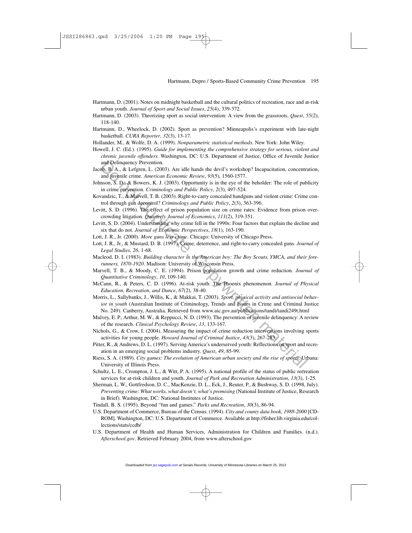- Hartmann, D. (2001). Notes on midnight basketball and the cultural politics of recreation, race and at-risk urban youth. *Journal of Sport and Social Issues*, *25*(4), 339-372.
- Hartmann, D. (2003). Theorizing sport as social intervention: A view from the grassroots. *Quest*, *55*(2), 118-140.
- Hartmann, D., Wheelock, D. (2002). Sport as prevention? Minneapolis's experiment with late-night basketball. *CURA Reporter*, *32*(3), 13-17.
- Hollander, M., & Wolfe, D. A. (1999). *Nonparametric statistical methods*. New York: John Wiley.
- Howell, J. C. (Ed.). (1995). *Guide for implementing the comprehensive strategy for serious, violent and chronic juvenile offenders*. Washington, DC: U.S. Department of Justice, Office of Juvenile Justice and Delinquency Prevention.
- Jacob, B. A., & Lefgren, L. (2003). Are idle hands the devil's workshop? Incapacitation, concentration, and juvenile crime. *American Economic Review*, *93*(5), 1560-1577.
- Johnson, S. D., & Bowers, K. J. (2003). Opportunity is in the eye of the beholder: The role of publicity in crime prevention. *Criminology and Public Policy*, *2*(3), 497-524.
- Kovandzic, T., & Marvell, T. B. (2003). Right-to-carry concealed handguns and violent crime: Crime control through gun decontrol? *Criminology and Public Policy*, *2*(3), 363-396.
- Levitt, S. D. (1996). The effect of prison population size on crime rates: Evidence from prison overcrowding litigation. *Quarterly Journal of Economics*, *111*(2), 319-351.
- Levitt, S. D. (2004). Understanding why crime fell in the 1990s: Four factors that explain the decline and six that do not. *Journal of Economic Perspectives*, *18*(1), 163-190.
- Lott, J. R., Jr. (2000). *More guns less crime*. Chicago: University of Chicago Press.
- Lott, J. R., Jr., & Mustard, D. B. (1997). Crime, deterrence, and right-to-carry concealed guns. *Journal of Legal Studies*, *26*, 1-68.
- Macleod, D. I. (1983). *Building character in the American boy: The Boy Scouts, YMCA, and their forerunners, 1870-1920*. Madison: University of Wisconsin Press.
- Marvell, T. B., & Moody, C. E. (1994). Prison population growth and crime reduction. *Journal of Quantitative Criminology*, *10*, 109-140.
- McCann, R., & Peters, C. D. (1996). At-risk youth: The Phoenix phenomenon. *Journal of Physical Education, Recreation, and Dance*, *67*(2), 38-40.
- Morris, L., Sallybanks, J., Willis, K., & Makkai, T. (2003). *Sport, physical activity and antisocial behavior in youth* (Australian Institute of Criminology, Trends and Issues in Crime and Criminal Justice No. 249). Canberry, Australia. Retrieved from www.aic.gov.au/publications/tandi/tandi249t.html and Delinquery Prevention.<br>
So, By A., & Lefegren, L. (2003). Are idle hands the devil's workshop? Incapacitation, concentra<br>
and [womile crime. American Economic Review, 93(5), 1560-1577.<br>
and five mile crime. Correlation
- Mulvey, E. P., Arthur, M. W., & Reppucci, N. D. (1993). The prevention of juvenile delinquency: A review of the research. *Clinical Psychology Review*, *13*, 133-167.
- Nichols, G., & Crow, I. (2004). Measuring the impact of crime reduction interventions involving sports activities for young people. *Howard Journal of Criminal Justice*, *43*(3), 267-283.
- Pitter, R., & Andrews, D. L. (1997). Serving America's underserved youth: Reflections on sport and recreation in an emerging social problems industry. *Quest*, *49*, 85-99.
- Riess, S. A. (1989). *City games: The evolution of American urban society and the rise of sports*. Urbana: University of Illinois Press.
- Schultz, L. E., Crompton, J. L., & Witt, P. A. (1995). A national profile of the status of public recreation services for at-risk children and youth. *Journal of Park and Recreation Administration*, *13*(3), 1-25.
- Sherman, L. W., Gottfredson, D. C., MacKenzie, D. L., Eck, J., Reuter, P., & Bushway, S. D. (1998, July). *Preventing crime: What works, what doesn't, what's promising* (National Institute of Justice, Research in Brief). Washington, DC: National Institutes of Justice.
- Tindall, B. S. (1995). Beyond "fun and games." *Parks and Recreation*, *30*(3), 86-94.
- U.S. Department of Commerce, Bureau of the Census. (1994). *City and county data book, 1988-2000* [CD-ROM]. Washington, DC: U.S. Department of Commerce. Available at http://fisher.lib.virginia.edu/collections/stats/ccdb/
- U.S. Department of Health and Human Services, Administration for Children and Families. (n.d.). *Afterschool.gov*. Retrieved February 2004, from www.afterschool.gov